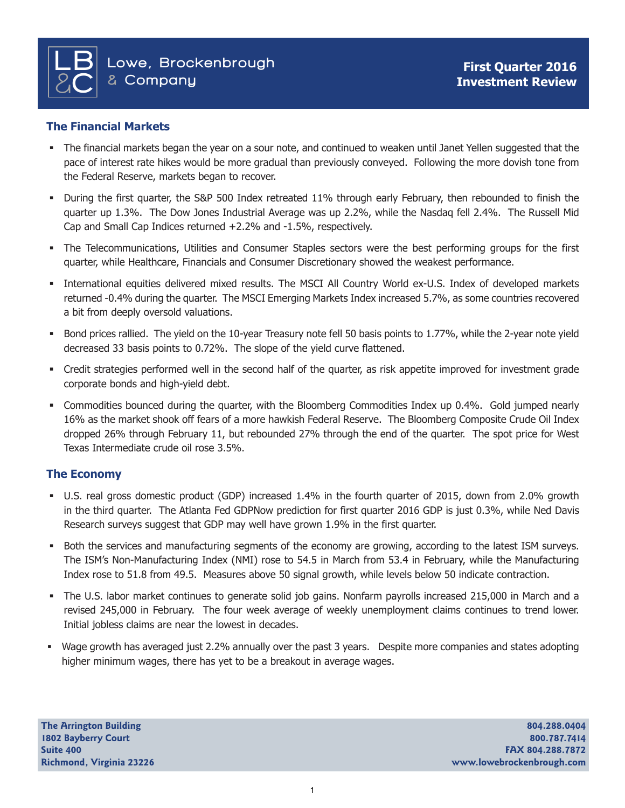# **The Financial Markets**

- The financial markets began the year on a sour note, and continued to weaken until Janet Yellen suggested that the pace of interest rate hikes would be more gradual than previously conveyed. Following the more dovish tone from the Federal Reserve, markets began to recover.
- During the first quarter, the S&P 500 Index retreated 11% through early February, then rebounded to finish the quarter up 1.3%. The Dow Jones Industrial Average was up 2.2%, while the Nasdaq fell 2.4%. The Russell Mid Cap and Small Cap Indices returned +2.2% and -1.5%, respectively.
- The Telecommunications, Utilities and Consumer Staples sectors were the best performing groups for the first quarter, while Healthcare, Financials and Consumer Discretionary showed the weakest performance.
- International equities delivered mixed results. The MSCI All Country World ex-U.S. Index of developed markets returned -0.4% during the quarter. The MSCI Emerging Markets Index increased 5.7%, as some countries recovered a bit from deeply oversold valuations.
- Bond prices rallied. The yield on the 10-year Treasury note fell 50 basis points to 1.77%, while the 2-year note yield decreased 33 basis points to 0.72%. The slope of the yield curve flattened.
- Credit strategies performed well in the second half of the quarter, as risk appetite improved for investment grade corporate bonds and high-yield debt.
- Commodities bounced during the quarter, with the Bloomberg Commodities Index up 0.4%. Gold jumped nearly 16% as the market shook off fears of a more hawkish Federal Reserve. The Bloomberg Composite Crude Oil Index dropped 26% through February 11, but rebounded 27% through the end of the quarter. The spot price for West Texas Intermediate crude oil rose 3.5%.

# **The Economy**

- U.S. real gross domestic product (GDP) increased 1.4% in the fourth quarter of 2015, down from 2.0% growth in the third quarter. The Atlanta Fed GDPNow prediction for first quarter 2016 GDP is just 0.3%, while Ned Davis Research surveys suggest that GDP may well have grown 1.9% in the first quarter.
- Both the services and manufacturing segments of the economy are growing, according to the latest ISM surveys. The ISM's Non-Manufacturing Index (NMI) rose to 54.5 in March from 53.4 in February, while the Manufacturing Index rose to 51.8 from 49.5. Measures above 50 signal growth, while levels below 50 indicate contraction.
- The U.S. labor market continues to generate solid job gains. Nonfarm payrolls increased 215,000 in March and a revised 245,000 in February. The four week average of weekly unemployment claims continues to trend lower. Initial jobless claims are near the lowest in decades.
- Wage growth has averaged just 2.2% annually over the past 3 years. Despite more companies and states adopting higher minimum wages, there has yet to be a breakout in average wages.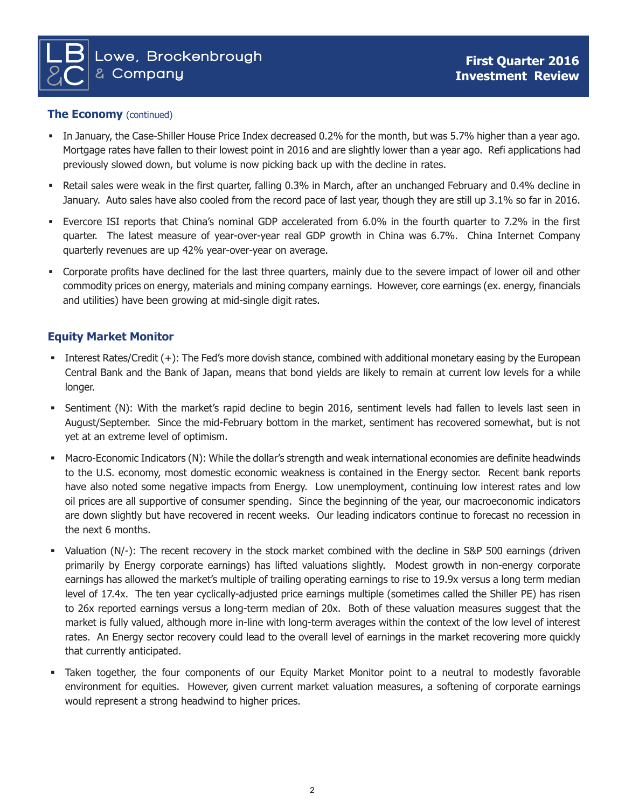

#### **The Economy** (continued)

- In January, the Case-Shiller House Price Index decreased 0.2% for the month, but was 5.7% higher than a year ago. Mortgage rates have fallen to their lowest point in 2016 and are slightly lower than a year ago. Refi applications had previously slowed down, but volume is now picking back up with the decline in rates.
- Retail sales were weak in the first quarter, falling 0.3% in March, after an unchanged February and 0.4% decline in January. Auto sales have also cooled from the record pace of last year, though they are still up 3.1% so far in 2016.
- Evercore ISI reports that China's nominal GDP accelerated from 6.0% in the fourth quarter to 7.2% in the first quarter. The latest measure of year-over-year real GDP growth in China was 6.7%. China Internet Company quarterly revenues are up 42% year-over-year on average.
- Corporate profits have declined for the last three quarters, mainly due to the severe impact of lower oil and other commodity prices on energy, materials and mining company earnings. However, core earnings (ex. energy, financials and utilities) have been growing at mid-single digit rates.

## **Equity Market Monitor**

- Interest Rates/Credit (+): The Fed's more dovish stance, combined with additional monetary easing by the European Central Bank and the Bank of Japan, means that bond yields are likely to remain at current low levels for a while longer.
- Sentiment (N): With the market's rapid decline to begin 2016, sentiment levels had fallen to levels last seen in August/September. Since the mid-February bottom in the market, sentiment has recovered somewhat, but is not yet at an extreme level of optimism.
- Macro-Economic Indicators (N): While the dollar's strength and weak international economies are definite headwinds to the U.S. economy, most domestic economic weakness is contained in the Energy sector. Recent bank reports have also noted some negative impacts from Energy. Low unemployment, continuing low interest rates and low oil prices are all supportive of consumer spending. Since the beginning of the year, our macroeconomic indicators are down slightly but have recovered in recent weeks. Our leading indicators continue to forecast no recession in the next 6 months.
- Valuation (N/-): The recent recovery in the stock market combined with the decline in S&P 500 earnings (driven primarily by Energy corporate earnings) has lifted valuations slightly. Modest growth in non-energy corporate earnings has allowed the market's multiple of trailing operating earnings to rise to 19.9x versus a long term median level of 17.4x. The ten year cyclically-adjusted price earnings multiple (sometimes called the Shiller PE) has risen to 26x reported earnings versus a long-term median of 20x. Both of these valuation measures suggest that the market is fully valued, although more in-line with long-term averages within the context of the low level of interest rates. An Energy sector recovery could lead to the overall level of earnings in the market recovering more quickly that currently anticipated.
- Taken together, the four components of our Equity Market Monitor point to a neutral to modestly favorable environment for equities. However, given current market valuation measures, a softening of corporate earnings would represent a strong headwind to higher prices.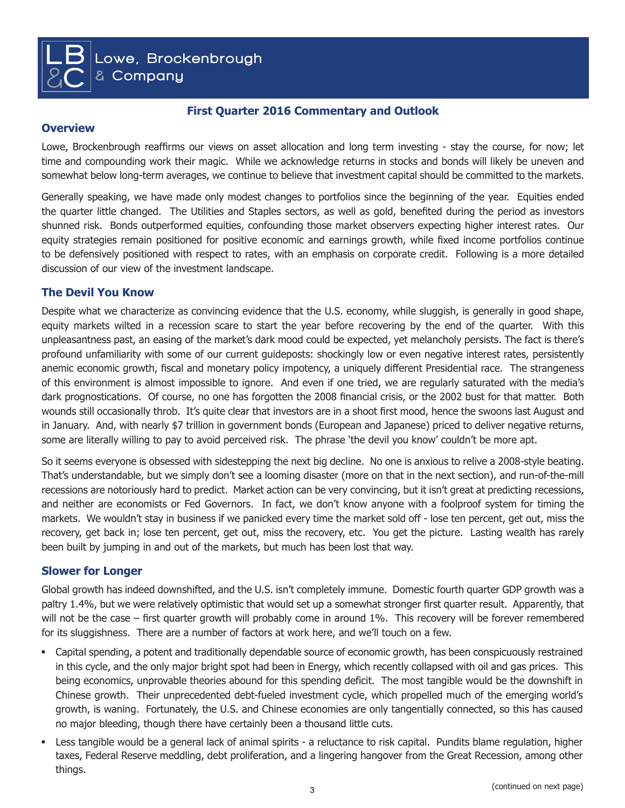**First Quarter 2016 Commentary and Outlook**

### **Overview**

 $\overline{\mathsf{LB}}$ 

**&**C

Lowe, Brockenbrough reaffirms our views on asset allocation and long term investing - stay the course, for now; let time and compounding work their magic. While we acknowledge returns in stocks and bonds will likely be uneven and somewhat below long-term averages, we continue to believe that investment capital should be committed to the markets.

Generally speaking, we have made only modest changes to portfolios since the beginning of the year. Equities ended the quarter little changed. The Utilities and Staples sectors, as well as gold, benefited during the period as investors shunned risk. Bonds outperformed equities, confounding those market observers expecting higher interest rates. Our equity strategies remain positioned for positive economic and earnings growth, while fixed income portfolios continue to be defensively positioned with respect to rates, with an emphasis on corporate credit. Following is a more detailed discussion of our view of the investment landscape.

### **The Devil You Know**

Despite what we characterize as convincing evidence that the U.S. economy, while sluggish, is generally in good shape, equity markets wilted in a recession scare to start the year before recovering by the end of the quarter. With this unpleasantness past, an easing of the market's dark mood could be expected, yet melancholy persists. The fact is there's profound unfamiliarity with some of our current guideposts: shockingly low or even negative interest rates, persistently anemic economic growth, fiscal and monetary policy impotency, a uniquely different Presidential race. The strangeness of this environment is almost impossible to ignore. And even if one tried, we are regularly saturated with the media's dark prognostications. Of course, no one has forgotten the 2008 financial crisis, or the 2002 bust for that matter. Both wounds still occasionally throb. It's quite clear that investors are in a shoot first mood, hence the swoons last August and in January. And, with nearly \$7 trillion in government bonds (European and Japanese) priced to deliver negative returns, some are literally willing to pay to avoid perceived risk. The phrase 'the devil you know' couldn't be more apt.

So it seems everyone is obsessed with sidestepping the next big decline. No one is anxious to relive a 2008-style beating. That's understandable, but we simply don't see a looming disaster (more on that in the next section), and run-of-the-mill recessions are notoriously hard to predict. Market action can be very convincing, but it isn't great at predicting recessions, and neither are economists or Fed Governors. In fact, we don't know anyone with a foolproof system for timing the markets. We wouldn't stay in business if we panicked every time the market sold off - lose ten percent, get out, miss the recovery, get back in; lose ten percent, get out, miss the recovery, etc. You get the picture. Lasting wealth has rarely been built by jumping in and out of the markets, but much has been lost that way.

### **Slower for Longer**

Global growth has indeed downshifted, and the U.S. isn't completely immune. Domestic fourth quarter GDP growth was a paltry 1.4%, but we were relatively optimistic that would set up a somewhat stronger first quarter result. Apparently, that will not be the case – first quarter growth will probably come in around 1%. This recovery will be forever remembered for its sluggishness. There are a number of factors at work here, and we'll touch on a few.

- Capital spending, a potent and traditionally dependable source of economic growth, has been conspicuously restrained in this cycle, and the only major bright spot had been in Energy, which recently collapsed with oil and gas prices. This being economics, unprovable theories abound for this spending deficit. The most tangible would be the downshift in Chinese growth. Their unprecedented debt-fueled investment cycle, which propelled much of the emerging world's growth, is waning. Fortunately, the U.S. and Chinese economies are only tangentially connected, so this has caused no major bleeding, though there have certainly been a thousand little cuts.
- Less tangible would be a general lack of animal spirits a reluctance to risk capital. Pundits blame regulation, higher taxes, Federal Reserve meddling, debt proliferation, and a lingering hangover from the Great Recession, among other things.